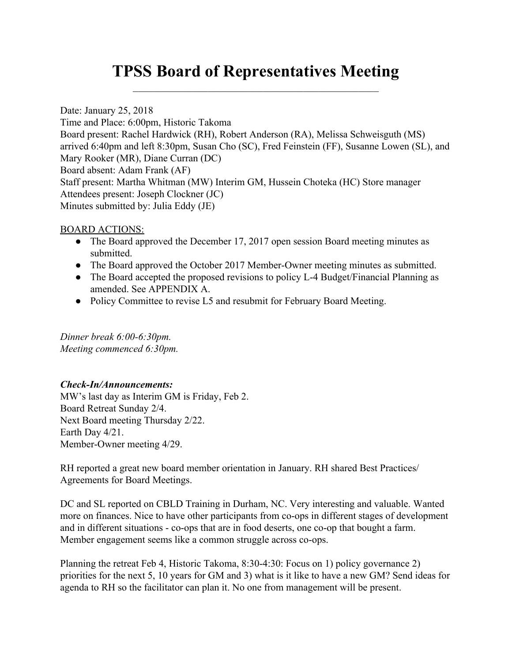# **TPSS Board of Representatives Meeting**  $\mathcal{L}_\text{max}$  and  $\mathcal{L}_\text{max}$  and  $\mathcal{L}_\text{max}$  and  $\mathcal{L}_\text{max}$  and  $\mathcal{L}_\text{max}$

Date: January 25, 2018 Time and Place: 6:00pm, Historic Takoma Board present: Rachel Hardwick (RH), Robert Anderson (RA), Melissa Schweisguth (MS) arrived 6:40pm and left 8:30pm, Susan Cho (SC), Fred Feinstein (FF), Susanne Lowen (SL), and Mary Rooker (MR), Diane Curran (DC) Board absent: Adam Frank (AF) Staff present: Martha Whitman (MW) Interim GM, Hussein Choteka (HC) Store manager Attendees present: Joseph Clockner (JC) Minutes submitted by: Julia Eddy (JE)

### BOARD ACTIONS:

- The Board approved the December 17, 2017 open session Board meeting minutes as submitted.
- The Board approved the October 2017 Member-Owner meeting minutes as submitted.
- The Board accepted the proposed revisions to policy L-4 Budget/Financial Planning as amended. See APPENDIX A.
- Policy Committee to revise L5 and resubmit for February Board Meeting.

*Dinner break 6:00-6:30pm. Meeting commenced 6:30pm.*

## *Check-In/Announcements:*

MW's last day as Interim GM is Friday, Feb 2. Board Retreat Sunday 2/4. Next Board meeting Thursday 2/22. Earth Day 4/21. Member-Owner meeting 4/29.

RH reported a great new board member orientation in January. RH shared Best Practices/ Agreements for Board Meetings.

DC and SL reported on CBLD Training in Durham, NC. Very interesting and valuable. Wanted more on finances. Nice to have other participants from co-ops in different stages of development and in different situations - co-ops that are in food deserts, one co-op that bought a farm. Member engagement seems like a common struggle across co-ops.

Planning the retreat Feb 4, Historic Takoma, 8:30-4:30: Focus on 1) policy governance 2) priorities for the next 5, 10 years for GM and 3) what is it like to have a new GM? Send ideas for agenda to RH so the facilitator can plan it. No one from management will be present.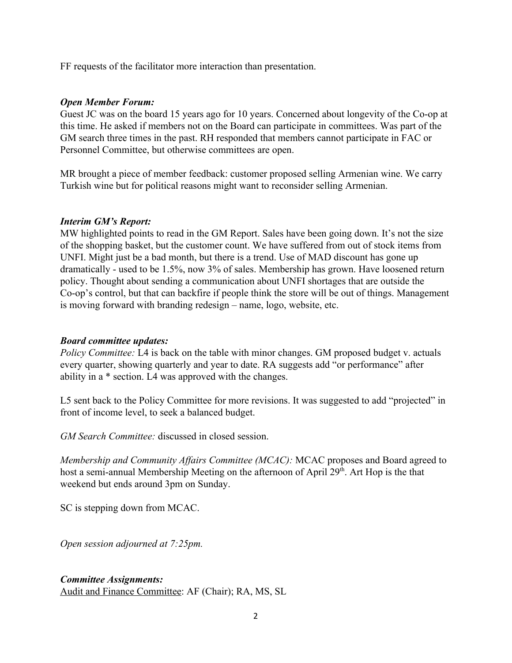FF requests of the facilitator more interaction than presentation.

### *Open Member Forum:*

Guest JC was on the board 15 years ago for 10 years. Concerned about longevity of the Co-op at this time. He asked if members not on the Board can participate in committees. Was part of the GM search three times in the past. RH responded that members cannot participate in FAC or Personnel Committee, but otherwise committees are open.

MR brought a piece of member feedback: customer proposed selling Armenian wine. We carry Turkish wine but for political reasons might want to reconsider selling Armenian.

#### *Interim GM's Report:*

MW highlighted points to read in the GM Report. Sales have been going down. It's not the size of the shopping basket, but the customer count. We have suffered from out of stock items from UNFI. Might just be a bad month, but there is a trend. Use of MAD discount has gone up dramatically - used to be 1.5%, now 3% of sales. Membership has grown. Have loosened return policy. Thought about sending a communication about UNFI shortages that are outside the Co-op's control, but that can backfire if people think the store will be out of things. Management is moving forward with branding redesign – name, logo, website, etc.

## *Board committee updates:*

*Policy Committee:* L4 is back on the table with minor changes. GM proposed budget v. actuals every quarter, showing quarterly and year to date. RA suggests add "or performance" after ability in a \* section. L4 was approved with the changes.

L5 sent back to the Policy Committee for more revisions. It was suggested to add "projected" in front of income level, to seek a balanced budget.

*GM Search Committee:* discussed in closed session.

*Membership and Community Affairs Committee (MCAC):* MCAC proposes and Board agreed to host a semi-annual Membership Meeting on the afternoon of April 29<sup>th</sup>. Art Hop is the that weekend but ends around 3pm on Sunday.

SC is stepping down from MCAC.

*Open session adjourned at 7:25pm.*

#### *Committee Assignments:* Audit and Finance Committee: AF (Chair); RA, MS, SL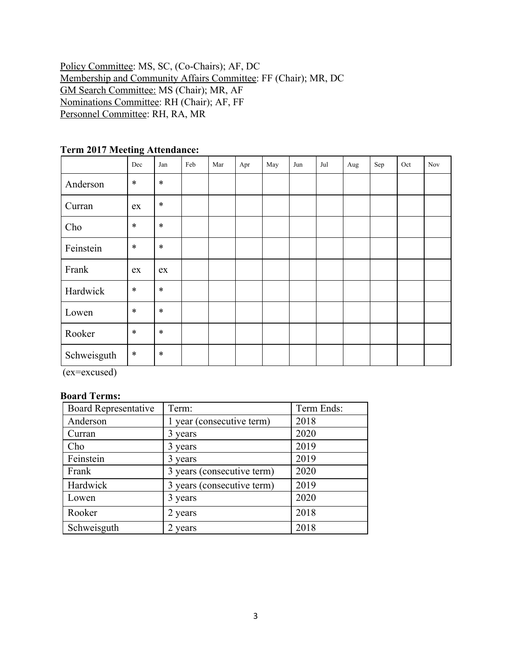Policy Committee: MS, SC, (Co-Chairs); AF, DC Membership and Community Affairs Committee: FF (Chair); MR, DC GM Search Committee: MS (Chair); MR, AF Nominations Committee: RH (Chair); AF, FF Personnel Committee: RH, RA, MR

|             | Dec        | Jan    | Feb | Mar | Apr | May | Jun | Jul | Aug | Sep | Oct | <b>Nov</b> |
|-------------|------------|--------|-----|-----|-----|-----|-----|-----|-----|-----|-----|------------|
| Anderson    | $\ast$     | $\ast$ |     |     |     |     |     |     |     |     |     |            |
| Curran      | ex         | $\ast$ |     |     |     |     |     |     |     |     |     |            |
| Cho         | $\ast$     | $\ast$ |     |     |     |     |     |     |     |     |     |            |
| Feinstein   | $\ast$     | $\ast$ |     |     |     |     |     |     |     |     |     |            |
| Frank       | ${\rm ex}$ | ex     |     |     |     |     |     |     |     |     |     |            |
| Hardwick    | $\ast$     | $\ast$ |     |     |     |     |     |     |     |     |     |            |
| Lowen       | $\ast$     | $\ast$ |     |     |     |     |     |     |     |     |     |            |
| Rooker      | $\ast$     | $\ast$ |     |     |     |     |     |     |     |     |     |            |
| Schweisguth | $\ast$     | $\ast$ |     |     |     |     |     |     |     |     |     |            |

# **Term 2017 Meeting Attendance:**

(ex=excused)

#### **Board Terms:**

| <b>Board Representative</b> | Term:                      | Term Ends: |  |  |
|-----------------------------|----------------------------|------------|--|--|
| Anderson                    | 1 year (consecutive term)  | 2018       |  |  |
| Curran                      | 3 years                    | 2020       |  |  |
| Cho                         | 3 years                    | 2019       |  |  |
| Feinstein                   | 3 years                    | 2019       |  |  |
| Frank                       | 3 years (consecutive term) | 2020       |  |  |
| Hardwick                    | 3 years (consecutive term) | 2019       |  |  |
| Lowen                       | 3 years                    | 2020       |  |  |
| Rooker                      | 2 years                    | 2018       |  |  |
| Schweisguth                 | 2 years                    | 2018       |  |  |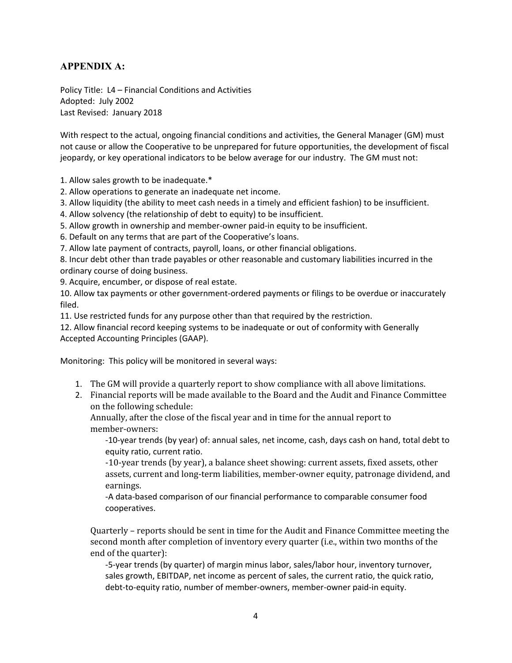## **APPENDIX A:**

Policy Title: L4 – Financial Conditions and Activities Adopted: July 2002 Last Revised: January 2018

With respect to the actual, ongoing financial conditions and activities, the General Manager (GM) must not cause or allow the Cooperative to be unprepared for future opportunities, the development of fiscal jeopardy, or key operational indicators to be below average for our industry. The GM must not:

1. Allow sales growth to be inadequate.\*

- 2. Allow operations to generate an inadequate net income.
- 3. Allow liquidity (the ability to meet cash needs in a timely and efficient fashion) to be insufficient.
- 4. Allow solvency (the relationship of debt to equity) to be insufficient.
- 5. Allow growth in ownership and member-owner paid-in equity to be insufficient.

6. Default on any terms that are part of the Cooperative's loans.

7. Allow late payment of contracts, payroll, loans, or other financial obligations.

8. Incur debt other than trade payables or other reasonable and customary liabilities incurred in the ordinary course of doing business.

9. Acquire, encumber, or dispose of real estate.

10. Allow tax payments or other government-ordered payments or filings to be overdue or inaccurately filed.

11. Use restricted funds for any purpose other than that required by the restriction.

12. Allow financial record keeping systems to be inadequate or out of conformity with Generally Accepted Accounting Principles (GAAP).

Monitoring: This policy will be monitored in several ways:

- 1. The GM will provide a quarterly report to show compliance with all above limitations.
- 2. Financial reports will be made available to the Board and the Audit and Finance Committee on the following schedule:

Annually, after the close of the fiscal year and in time for the annual report to member-owners:

-10-year trends (by year) of: annual sales, net income, cash, days cash on hand, total debt to equity ratio, current ratio.

-10-year trends (by year), a balance sheet showing: current assets, fixed assets, other assets, current and long-term liabilities, member-owner equity, patronage dividend, and earnings.

-A data-based comparison of our financial performance to comparable consumer food cooperatives.

Quarterly – reports should be sent in time for the Audit and Finance Committee meeting the second month after completion of inventory every quarter (i.e., within two months of the end of the quarter):

-5-year trends (by quarter) of margin minus labor, sales/labor hour, inventory turnover, sales growth, EBITDAP, net income as percent of sales, the current ratio, the quick ratio, debt-to-equity ratio, number of member-owners, member-owner paid-in equity.